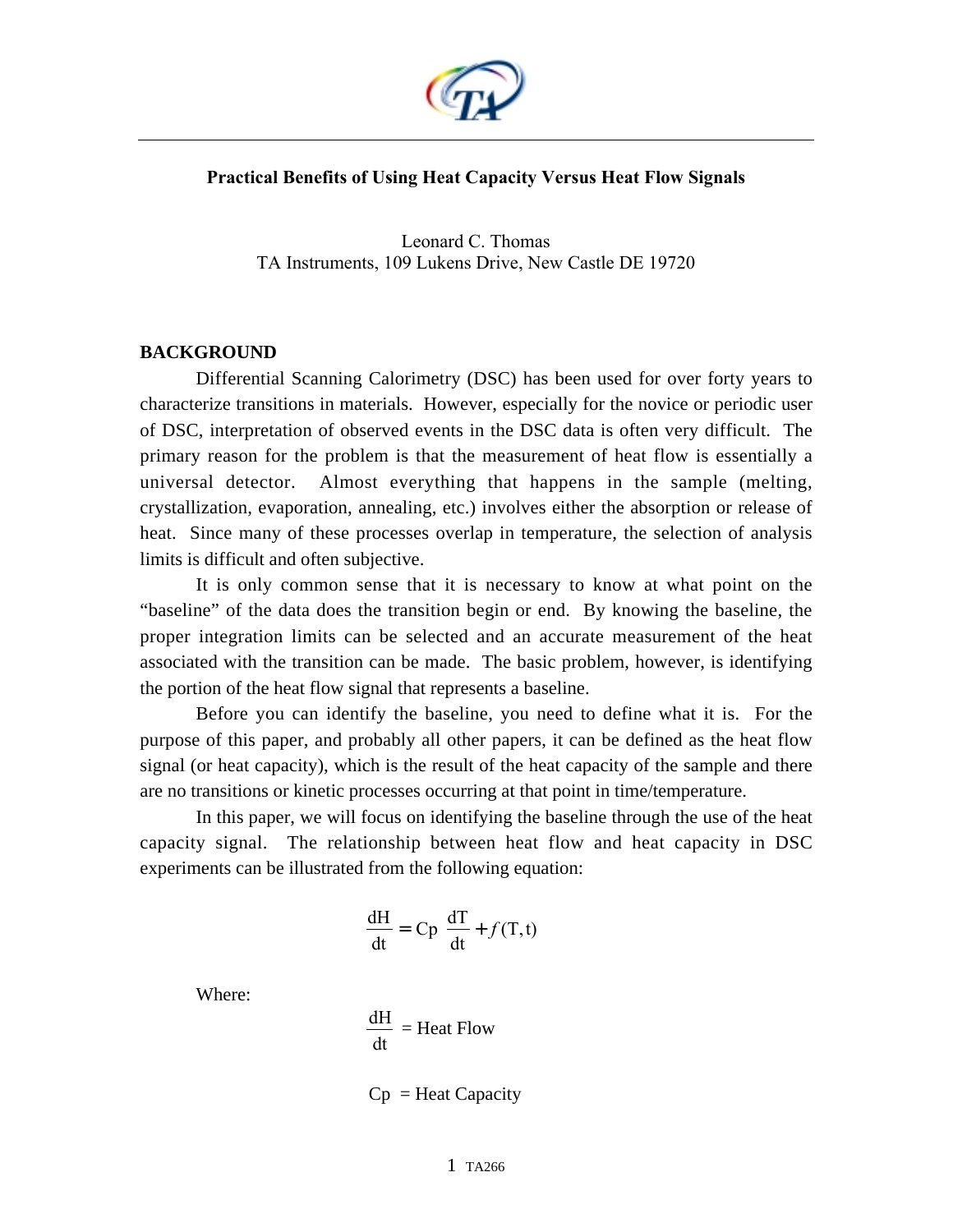

## **Practical Benefits of Using Heat Capacity Versus Heat Flow Signals**

Leonard C. Thomas TA Instruments, 109 Lukens Drive, New Castle DE 19720

## **BACKGROUND**

Differential Scanning Calorimetry (DSC) has been used for over forty years to characterize transitions in materials. However, especially for the novice or periodic user of DSC, interpretation of observed events in the DSC data is often very difficult. The primary reason for the problem is that the measurement of heat flow is essentially a universal detector. Almost everything that happens in the sample (melting, crystallization, evaporation, annealing, etc.) involves either the absorption or release of heat. Since many of these processes overlap in temperature, the selection of analysis limits is difficult and often subjective.

It is only common sense that it is necessary to know at what point on the "baseline" of the data does the transition begin or end. By knowing the baseline, the proper integration limits can be selected and an accurate measurement of the heat associated with the transition can be made. The basic problem, however, is identifying the portion of the heat flow signal that represents a baseline.

Before you can identify the baseline, you need to define what it is. For the purpose of this paper, and probably all other papers, it can be defined as the heat flow signal (or heat capacity), which is the result of the heat capacity of the sample and there are no transitions or kinetic processes occurring at that point in time/temperature.

In this paper, we will focus on identifying the baseline through the use of the heat capacity signal. The relationship between heat flow and heat capacity in DSC experiments can be illustrated from the following equation:

$$
\frac{dH}{dt} = Cp \frac{dT}{dt} + f(T, t)
$$

Where:

$$
\frac{dH}{dt} = \text{Heat Flow}
$$

 $Cp =$  Heat Capacity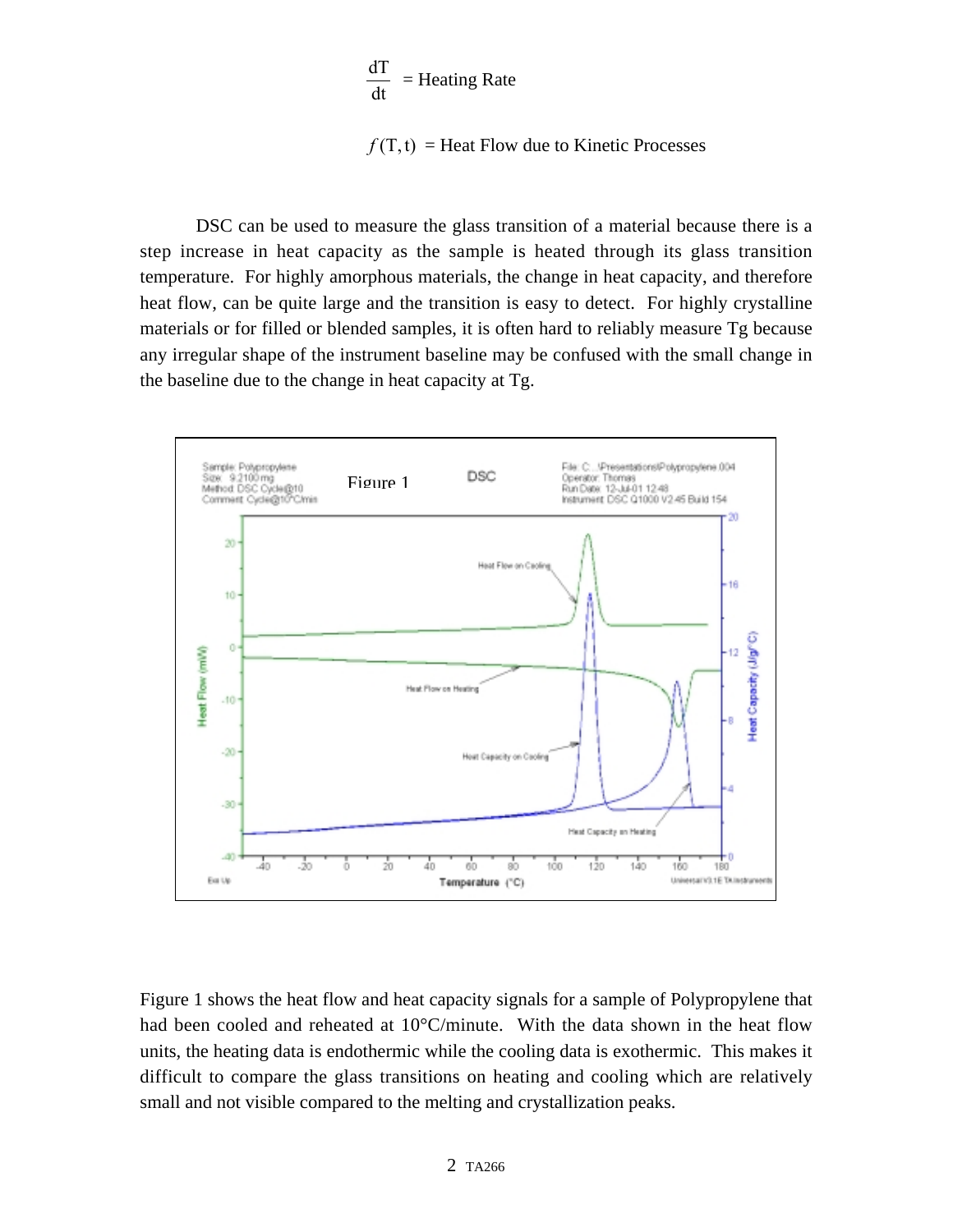$$
\frac{dT}{dt} = \text{Heating Rate}
$$

 $f(T, t)$  = Heat Flow due to Kinetic Processes

DSC can be used to measure the glass transition of a material because there is a step increase in heat capacity as the sample is heated through its glass transition temperature. For highly amorphous materials, the change in heat capacity, and therefore heat flow, can be quite large and the transition is easy to detect. For highly crystalline materials or for filled or blended samples, it is often hard to reliably measure Tg because any irregular shape of the instrument baseline may be confused with the small change in the baseline due to the change in heat capacity at Tg.



Figure 1 shows the heat flow and heat capacity signals for a sample of Polypropylene that had been cooled and reheated at 10°C/minute. With the data shown in the heat flow units, the heating data is endothermic while the cooling data is exothermic. This makes it difficult to compare the glass transitions on heating and cooling which are relatively small and not visible compared to the melting and crystallization peaks.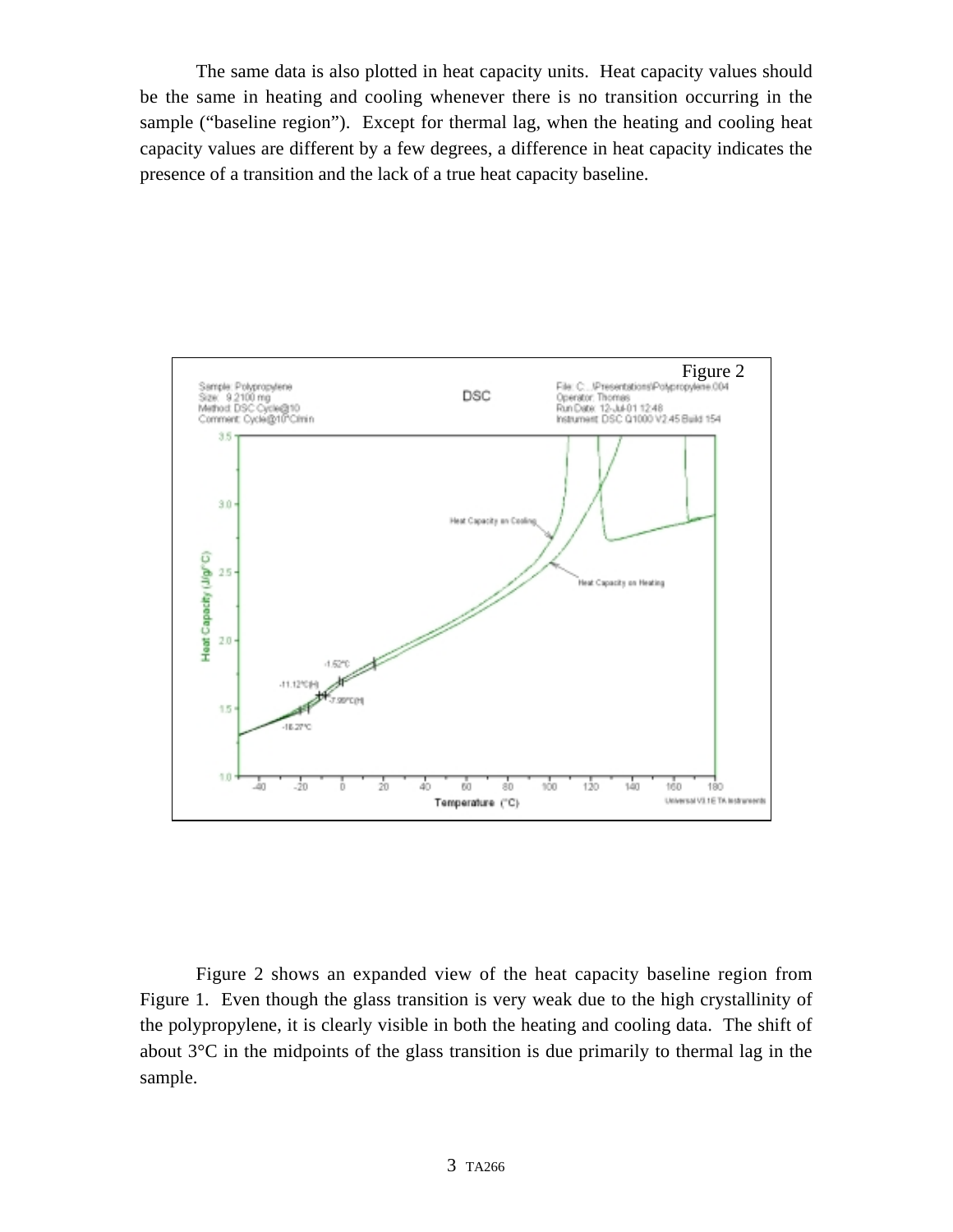The same data is also plotted in heat capacity units. Heat capacity values should be the same in heating and cooling whenever there is no transition occurring in the sample ("baseline region"). Except for thermal lag, when the heating and cooling heat capacity values are different by a few degrees, a difference in heat capacity indicates the presence of a transition and the lack of a true heat capacity baseline.



Figure 2 shows an expanded view of the heat capacity baseline region from Figure 1. Even though the glass transition is very weak due to the high crystallinity of the polypropylene, it is clearly visible in both the heating and cooling data. The shift of about 3°C in the midpoints of the glass transition is due primarily to thermal lag in the sample.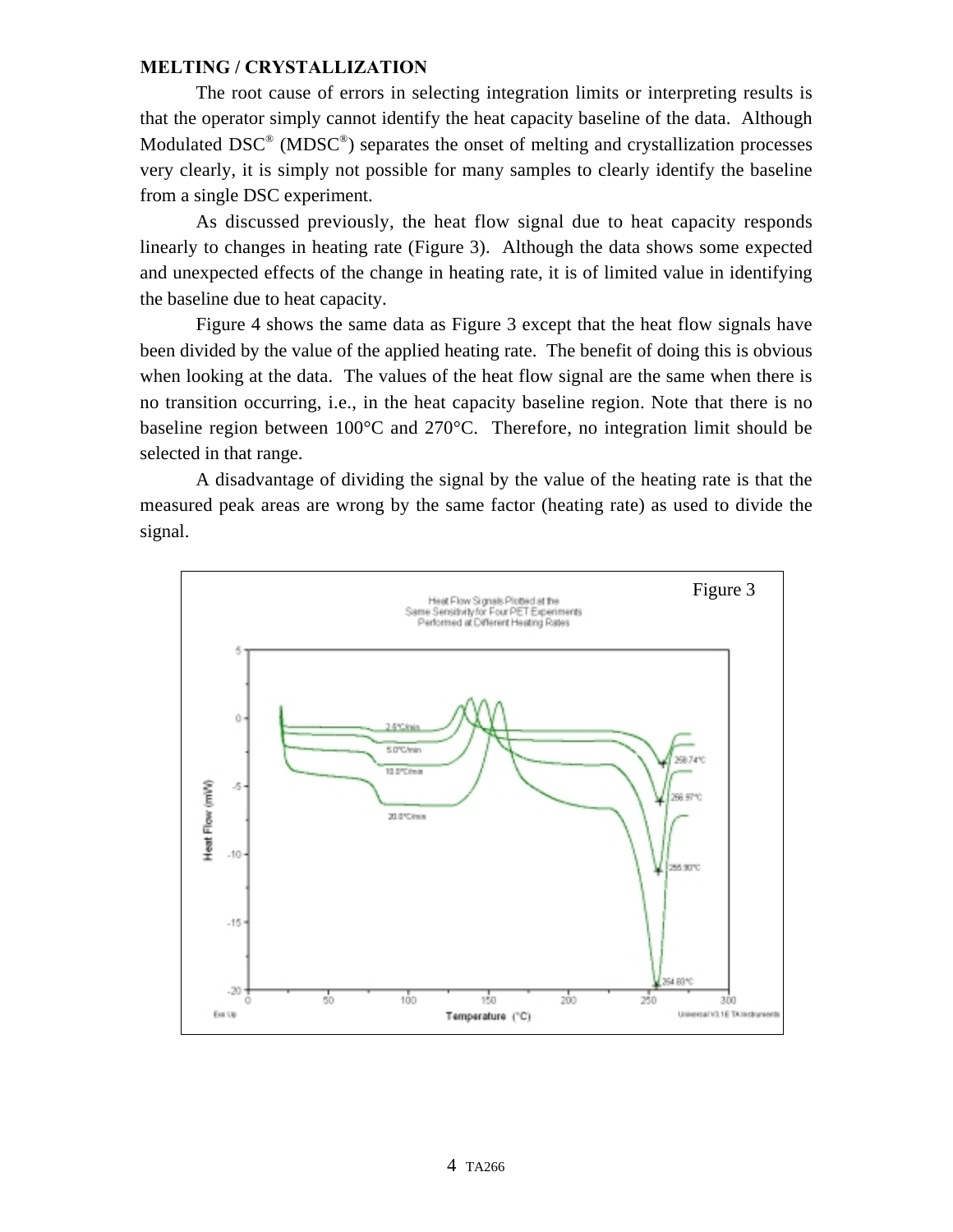## **MELTING / CRYSTALLIZATION**

The root cause of errors in selecting integration limits or interpreting results is that the operator simply cannot identify the heat capacity baseline of the data. Although Modulated DSC<sup>®</sup> (MDSC<sup>®</sup>) separates the onset of melting and crystallization processes very clearly, it is simply not possible for many samples to clearly identify the baseline from a single DSC experiment.

As discussed previously, the heat flow signal due to heat capacity responds linearly to changes in heating rate (Figure 3). Although the data shows some expected and unexpected effects of the change in heating rate, it is of limited value in identifying the baseline due to heat capacity.

Figure 4 shows the same data as Figure 3 except that the heat flow signals have been divided by the value of the applied heating rate. The benefit of doing this is obvious when looking at the data. The values of the heat flow signal are the same when there is no transition occurring, i.e., in the heat capacity baseline region. Note that there is no baseline region between 100°C and 270°C. Therefore, no integration limit should be selected in that range.

A disadvantage of dividing the signal by the value of the heating rate is that the measured peak areas are wrong by the same factor (heating rate) as used to divide the signal.

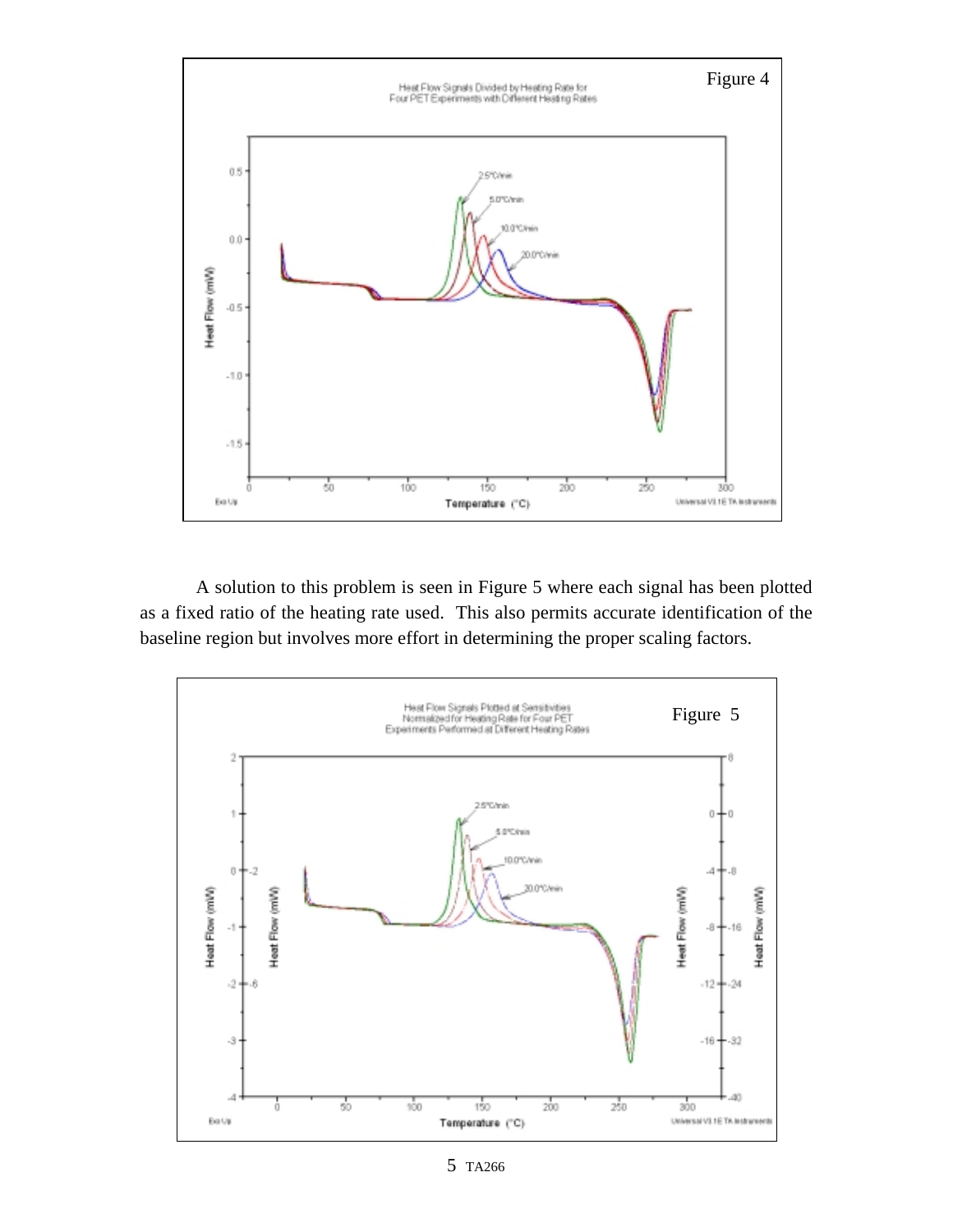

A solution to this problem is seen in Figure 5 where each signal has been plotted as a fixed ratio of the heating rate used. This also permits accurate identification of the baseline region but involves more effort in determining the proper scaling factors.